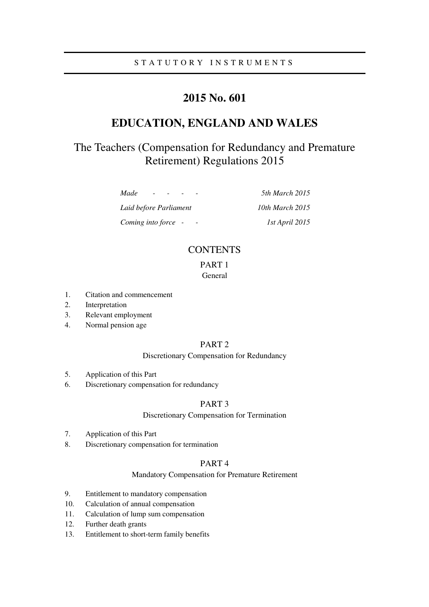# **2015 No. 601**

# **EDUCATION, ENGLAND AND WALES**

# The Teachers (Compensation for Redundancy and Premature Retirement) Regulations 2015

*Made - - - - 5th March 2015 Laid before Parliament 10th March 2015* 

*Coming into force - - 1st April 2015* 

# **CONTENTS**

### PART 1 General

- 1. Citation and commencement
- 2. Interpretation
- 3. Relevant employment
- 4. Normal pension age

## PART 2

### Discretionary Compensation for Redundancy

- 5. Application of this Part
- 6. Discretionary compensation for redundancy

### PART 3

### Discretionary Compensation for Termination

- 7. Application of this Part
- 8. Discretionary compensation for termination

### PART 4

### Mandatory Compensation for Premature Retirement

- 9. Entitlement to mandatory compensation
- 10. Calculation of annual compensation
- 11. Calculation of lump sum compensation
- 12. Further death grants
- 13. Entitlement to short-term family benefits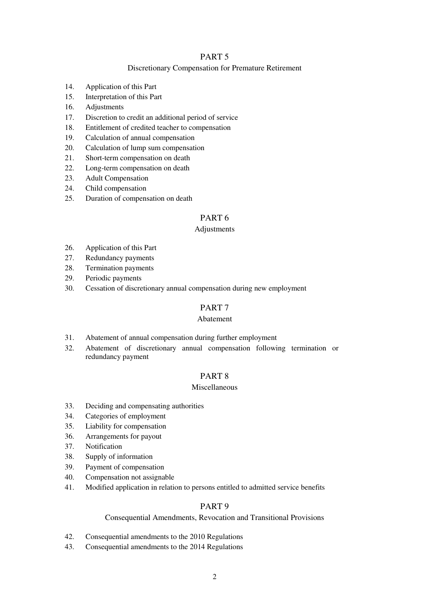## PART 5

### Discretionary Compensation for Premature Retirement

- 14. Application of this Part
- 15. Interpretation of this Part
- 16. Adjustments
- 17. Discretion to credit an additional period of service
- 18. Entitlement of credited teacher to compensation
- 19. Calculation of annual compensation
- 20. Calculation of lump sum compensation
- 21. Short-term compensation on death
- 22. Long-term compensation on death
- 23. Adult Compensation
- 24. Child compensation
- 25. Duration of compensation on death

## PART 6

### **Adjustments**

- 26. Application of this Part
- 27. Redundancy payments
- 28. Termination payments
- 29. Periodic payments
- 30. Cessation of discretionary annual compensation during new employment

### PART 7

### Abatement

- 31. Abatement of annual compensation during further employment
- 32. Abatement of discretionary annual compensation following termination or redundancy payment

## PART 8

### Miscellaneous

- 33. Deciding and compensating authorities
- 34. Categories of employment
- 35. Liability for compensation
- 36. Arrangements for payout
- 37. Notification
- 38. Supply of information
- 39. Payment of compensation
- 40. Compensation not assignable
- 41. Modified application in relation to persons entitled to admitted service benefits

## PART 9

## Consequential Amendments, Revocation and Transitional Provisions

- 42. Consequential amendments to the 2010 Regulations
- 43. Consequential amendments to the 2014 Regulations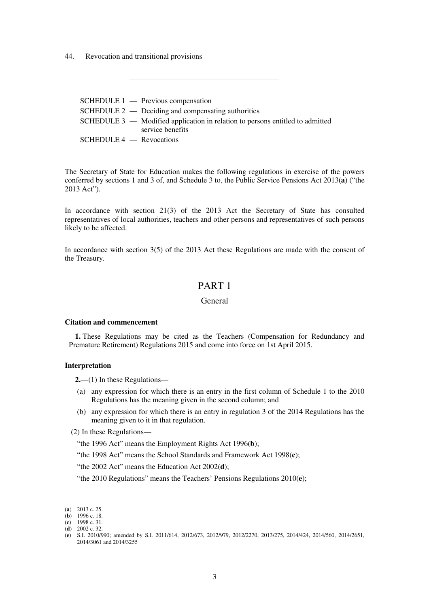44. Revocation and transitional provisions

|                            | $SCHEDULE 1$ — Previous compensation                                            |
|----------------------------|---------------------------------------------------------------------------------|
|                            | $SCHEDULE 2$ — Deciding and compensating authorities                            |
|                            | SCHEDULE $3$ — Modified application in relation to persons entitled to admitted |
|                            | service benefits                                                                |
| $SCHEDULE 4$ - Revocations |                                                                                 |

The Secretary of State for Education makes the following regulations in exercise of the powers conferred by sections 1 and 3 of, and Schedule 3 to, the Public Service Pensions Act 2013(**a**) ("the 2013 Act").

In accordance with section 21(3) of the 2013 Act the Secretary of State has consulted representatives of local authorities, teachers and other persons and representatives of such persons likely to be affected.

In accordance with section 3(5) of the 2013 Act these Regulations are made with the consent of the Treasury.

## PART 1

### General

#### **Citation and commencement**

**1.** These Regulations may be cited as the Teachers (Compensation for Redundancy and Premature Retirement) Regulations 2015 and come into force on 1st April 2015.

### **Interpretation**

**2.**—(1) In these Regulations—

- (a) any expression for which there is an entry in the first column of Schedule 1 to the 2010 Regulations has the meaning given in the second column; and
- (b) any expression for which there is an entry in regulation 3 of the 2014 Regulations has the meaning given to it in that regulation.

(2) In these Regulations—

"the 1996 Act" means the Employment Rights Act 1996(**b**);

"the 1998 Act" means the School Standards and Framework Act 1998(**c**);

"the 2002 Act" means the Education Act 2002(**d**);

"the 2010 Regulations" means the Teachers' Pensions Regulations 2010(**e**);

<u>.</u>

<sup>(</sup>**a**) 2013 c. 25.

<sup>(</sup>**b**) 1996 c. 18.

<sup>(</sup>**c**) 1998 c. 31. (**d**) 2002 c. 32.

<sup>(</sup>**e**) S.I. 2010/990; amended by S.I. 2011/614, 2012/673, 2012/979, 2012/2270, 2013/275, 2014/424, 2014/560, 2014/2651, 2014/3061 and 2014/3255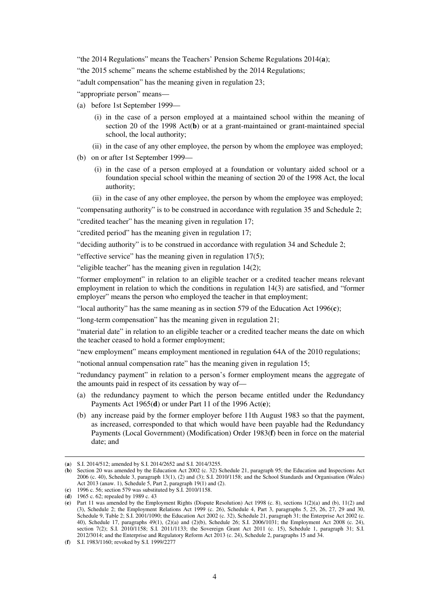"the 2014 Regulations" means the Teachers' Pension Scheme Regulations 2014(**a**);

"the 2015 scheme" means the scheme established by the 2014 Regulations;

"adult compensation" has the meaning given in regulation 23;

"appropriate person" means—

- (a) before 1st September 1999—
	- (i) in the case of a person employed at a maintained school within the meaning of section 20 of the 1998 Act(**b**) or at a grant-maintained or grant-maintained special school, the local authority;
	- (ii) in the case of any other employee, the person by whom the employee was employed;
- (b) on or after 1st September 1999—
	- (i) in the case of a person employed at a foundation or voluntary aided school or a foundation special school within the meaning of section 20 of the 1998 Act, the local authority;
	- (ii) in the case of any other employee, the person by whom the employee was employed;

"compensating authority" is to be construed in accordance with regulation 35 and Schedule 2;

"credited teacher" has the meaning given in regulation 17;

"credited period" has the meaning given in regulation 17;

"deciding authority" is to be construed in accordance with regulation 34 and Schedule 2;

"effective service" has the meaning given in regulation 17(5);

"eligible teacher" has the meaning given in regulation 14(2);

"former employment" in relation to an eligible teacher or a credited teacher means relevant employment in relation to which the conditions in regulation 14(3) are satisfied, and "former employer" means the person who employed the teacher in that employment;

"local authority" has the same meaning as in section 579 of the Education Act 1996(**c**);

"long-term compensation" has the meaning given in regulation 21;

"material date" in relation to an eligible teacher or a credited teacher means the date on which the teacher ceased to hold a former employment;

"new employment" means employment mentioned in regulation 64A of the 2010 regulations;

"notional annual compensation rate" has the meaning given in regulation 15;

"redundancy payment" in relation to a person's former employment means the aggregate of the amounts paid in respect of its cessation by way of—

- (a) the redundancy payment to which the person became entitled under the Redundancy Payments Act 1965(**d**) or under Part 11 of the 1996 Act(**e**);
- (b) any increase paid by the former employer before 11th August 1983 so that the payment, as increased, corresponded to that which would have been payable had the Redundancy Payments (Local Government) (Modification) Order 1983(**f**) been in force on the material date; and

<sup>&</sup>lt;u>.</u> (**a**) S.I. 2014/512; amended by S.I. 2014/2652 and S.I. 2014/3255.

<sup>(</sup>**b**) Section 20 was amended by the Education Act 2002 (c. 32) Schedule 21, paragraph 95; the Education and Inspections Act 2006 (c. 40), Schedule 3, paragraph 13(1), (2) and (3); S.I. 2010/1158; and the School Standards and Organisation (Wales) Act 2013 (anaw. 1), Schedule 5, Part 2, paragraph 19(1) and (2). (**c**) 1996 c. 56; section 579 was substituted by S.I. 2010/1158.

<sup>(</sup>**d**) 1965 c. 62; repealed by 1989 c. 43

<sup>(</sup>**e**) Part 11 was amended by the Employment Rights (Dispute Resolution) Act 1998 (c. 8), sections 1(2)(a) and (b), 11(2) and (3), Schedule 2; the Employment Relations Act 1999 (c. 26), Schedule 4, Part 3, paragraphs 5, 25, 26, 27, 29 and 30, Schedule 9, Table 2; S.I. 2001/1090; the Education Act 2002 (c. 32), Schedule 21, paragraph 31; the Enterprise Act 2002 (c. 40), Schedule 17, paragraphs 49(1), (2)(a) and (2)(b), Schedule 26; S.I. 2006/1031; the Employment Act 2008 (c. 24), section 7(2); S.I. 2010/1158; S.I. 2011/1133; the Sovereign Grant Act 2011 (c. 15), Schedule 1, paragraph 31; S.I. 2012/3014; and the Enterprise and Regulatory Reform Act 2013 (c. 24), Schedule 2, paragraphs 15 and 34.

<sup>(</sup>**f**) S.I. 1983/1160; revoked by S.I. 1999/2277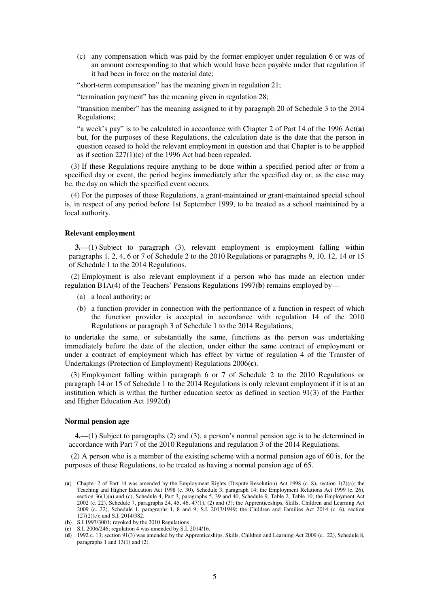(c) any compensation which was paid by the former employer under regulation 6 or was of an amount corresponding to that which would have been payable under that regulation if it had been in force on the material date;

"short-term compensation" has the meaning given in regulation 21;

"termination payment" has the meaning given in regulation 28;

"transition member" has the meaning assigned to it by paragraph 20 of Schedule 3 to the 2014 Regulations;

"a week's pay" is to be calculated in accordance with Chapter 2 of Part 14 of the 1996 Act(**a**) but, for the purposes of these Regulations, the calculation date is the date that the person in question ceased to hold the relevant employment in question and that Chapter is to be applied as if section  $227(1)(c)$  of the 1996 Act had been repealed.

(3) If these Regulations require anything to be done within a specified period after or from a specified day or event, the period begins immediately after the specified day or, as the case may be, the day on which the specified event occurs.

(4) For the purposes of these Regulations, a grant-maintained or grant-maintained special school is, in respect of any period before 1st September 1999, to be treated as a school maintained by a local authority.

#### **Relevant employment**

**3.**—(1) Subject to paragraph (3), relevant employment is employment falling within paragraphs 1, 2, 4, 6 or 7 of Schedule 2 to the 2010 Regulations or paragraphs 9, 10, 12, 14 or 15 of Schedule 1 to the 2014 Regulations.

(2) Employment is also relevant employment if a person who has made an election under regulation B1A(4) of the Teachers' Pensions Regulations 1997(**b**) remains employed by—

- (a) a local authority; or
- (b) a function provider in connection with the performance of a function in respect of which the function provider is accepted in accordance with regulation 14 of the 2010 Regulations or paragraph 3 of Schedule 1 to the 2014 Regulations,

to undertake the same, or substantially the same, functions as the person was undertaking immediately before the date of the election, under either the same contract of employment or under a contract of employment which has effect by virtue of regulation 4 of the Transfer of Undertakings (Protection of Employment) Regulations 2006(**c**).

(3) Employment falling within paragraph 6 or 7 of Schedule 2 to the 2010 Regulations or paragraph 14 or 15 of Schedule 1 to the 2014 Regulations is only relevant employment if it is at an institution which is within the further education sector as defined in section 91(3) of the Further and Higher Education Act 1992(**d**)

#### **Normal pension age**

<u>.</u>

**4.**—(1) Subject to paragraphs (2) and (3), a person's normal pension age is to be determined in accordance with Part 7 of the 2010 Regulations and regulation 3 of the 2014 Regulations.

(2) A person who is a member of the existing scheme with a normal pension age of 60 is, for the purposes of these Regulations, to be treated as having a normal pension age of 65.

<sup>(</sup>**a**) Chapter 2 of Part 14 was amended by the Employment Rights (Dispute Resolution) Act 1998 (c. 8), section 1(2)(a); the Teaching and Higher Education Act 1998 (c. 30), Schedule 3, paragraph 14; the Employment Relations Act 1999 (c. 26), section  $36(1)(a)$  and (c), Schedule 4, Part 3, paragraphs 5, 39 and 40, Schedule 9, Table 2, Table 10; the Employment Act 2002 (c. 22), Schedule 7, paragraphs 24, 45, 46, 47(1), (2) and (3); the Apprenticeships, Skills, Children and Learning Act 2009 (c. 22), Schedule 1, paragraphs 1, 8 and 9; S.I. 2013/1949; the Children and Families Act 2014 (c. 6), section 127(2)(c); and S.I. 2014/382.

<sup>(</sup>**b**) S.I 1997/3001; revoked by the 2010 Regulations

<sup>(</sup>**c**) S.I. 2006/246; regulation 4 was amended by S.I. 2014/16.

<sup>(</sup>**d**) 1992 c. 13; section 91(3) was amended by the Apprenticeships, Skills, Children and Learning Act 2009 (c. 22), Schedule 8, paragraphs 1 and 13(1) and (2).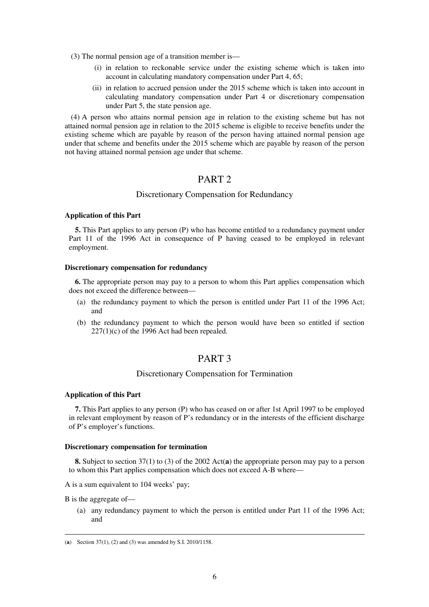(3) The normal pension age of a transition member is—

- (i) in relation to reckonable service under the existing scheme which is taken into account in calculating mandatory compensation under Part 4, 65;
- (ii) in relation to accrued pension under the 2015 scheme which is taken into account in calculating mandatory compensation under Part 4 or discretionary compensation under Part 5, the state pension age.

(4) A person who attains normal pension age in relation to the existing scheme but has not attained normal pension age in relation to the 2015 scheme is eligible to receive benefits under the existing scheme which are payable by reason of the person having attained normal pension age under that scheme and benefits under the 2015 scheme which are payable by reason of the person not having attained normal pension age under that scheme.

## PART<sub>2</sub>

### Discretionary Compensation for Redundancy

#### **Application of this Part**

**5.** This Part applies to any person (P) who has become entitled to a redundancy payment under Part 11 of the 1996 Act in consequence of P having ceased to be employed in relevant employment.

#### **Discretionary compensation for redundancy**

**6.** The appropriate person may pay to a person to whom this Part applies compensation which does not exceed the difference between—

- (a) the redundancy payment to which the person is entitled under Part 11 of the 1996 Act; and
- (b) the redundancy payment to which the person would have been so entitled if section  $227(1)(c)$  of the 1996 Act had been repealed.

## PART 3

### Discretionary Compensation for Termination

#### **Application of this Part**

**7.** This Part applies to any person (P) who has ceased on or after 1st April 1997 to be employed in relevant employment by reason of P's redundancy or in the interests of the efficient discharge of P's employer's functions.

#### **Discretionary compensation for termination**

**8.** Subject to section 37(1) to (3) of the 2002 Act(**a**) the appropriate person may pay to a person to whom this Part applies compensation which does not exceed A-B where—

A is a sum equivalent to 104 weeks' pay;

B is the aggregate of—

<u>.</u>

(a) any redundancy payment to which the person is entitled under Part 11 of the 1996 Act; and

<sup>(</sup>**a**) Section 37(1), (2) and (3) was amended by S.I. 2010/1158.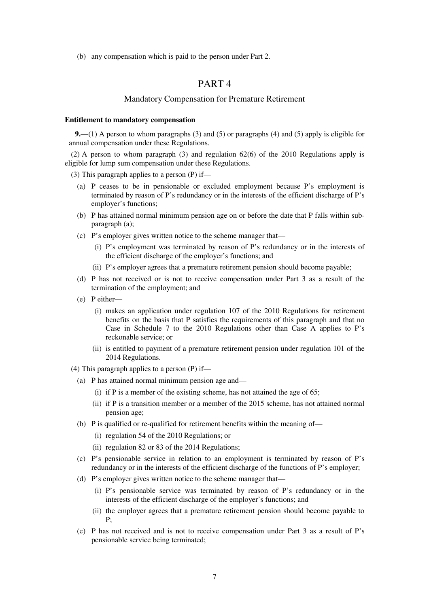(b) any compensation which is paid to the person under Part 2.

## PART 4

### Mandatory Compensation for Premature Retirement

#### **Entitlement to mandatory compensation**

**9.**—(1) A person to whom paragraphs (3) and (5) or paragraphs (4) and (5) apply is eligible for annual compensation under these Regulations.

(2) A person to whom paragraph (3) and regulation 62(6) of the 2010 Regulations apply is eligible for lump sum compensation under these Regulations.

(3) This paragraph applies to a person (P) if—

- (a) P ceases to be in pensionable or excluded employment because P's employment is terminated by reason of P's redundancy or in the interests of the efficient discharge of P's employer's functions;
- (b) P has attained normal minimum pension age on or before the date that P falls within subparagraph (a);
- (c) P's employer gives written notice to the scheme manager that—
	- (i) P's employment was terminated by reason of P's redundancy or in the interests of the efficient discharge of the employer's functions; and
	- (ii) P's employer agrees that a premature retirement pension should become payable;
- (d) P has not received or is not to receive compensation under Part 3 as a result of the termination of the employment; and
- (e) P either—
	- (i) makes an application under regulation 107 of the 2010 Regulations for retirement benefits on the basis that P satisfies the requirements of this paragraph and that no Case in Schedule 7 to the 2010 Regulations other than Case A applies to P's reckonable service; or
	- (ii) is entitled to payment of a premature retirement pension under regulation 101 of the 2014 Regulations.
- (4) This paragraph applies to a person  $(P)$  if—
	- (a) P has attained normal minimum pension age and—
		- (i) if P is a member of the existing scheme, has not attained the age of 65;
		- (ii) if P is a transition member or a member of the 2015 scheme, has not attained normal pension age;
	- (b) P is qualified or re-qualified for retirement benefits within the meaning of—
		- (i) regulation 54 of the 2010 Regulations; or
		- (ii) regulation 82 or 83 of the 2014 Regulations;
	- (c) P's pensionable service in relation to an employment is terminated by reason of P's redundancy or in the interests of the efficient discharge of the functions of P's employer;
	- (d) P's employer gives written notice to the scheme manager that—
		- (i) P's pensionable service was terminated by reason of P's redundancy or in the interests of the efficient discharge of the employer's functions; and
		- (ii) the employer agrees that a premature retirement pension should become payable to P;
	- (e) P has not received and is not to receive compensation under Part 3 as a result of P's pensionable service being terminated;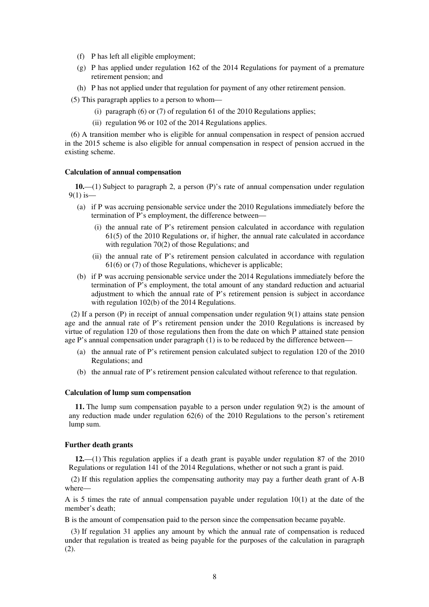- (f) P has left all eligible employment;
- (g) P has applied under regulation 162 of the 2014 Regulations for payment of a premature retirement pension; and
- (h) P has not applied under that regulation for payment of any other retirement pension.
- (5) This paragraph applies to a person to whom—
	- (i) paragraph  $(6)$  or  $(7)$  of regulation 61 of the 2010 Regulations applies;
	- (ii) regulation 96 or 102 of the 2014 Regulations applies.

(6) A transition member who is eligible for annual compensation in respect of pension accrued in the 2015 scheme is also eligible for annual compensation in respect of pension accrued in the existing scheme.

#### **Calculation of annual compensation**

**10.**—(1) Subject to paragraph 2, a person (P)'s rate of annual compensation under regulation  $9(1)$  is —

- (a) if P was accruing pensionable service under the 2010 Regulations immediately before the termination of P's employment, the difference between—
	- (i) the annual rate of P's retirement pension calculated in accordance with regulation 61(5) of the 2010 Regulations or, if higher, the annual rate calculated in accordance with regulation 70(2) of those Regulations; and
	- (ii) the annual rate of P's retirement pension calculated in accordance with regulation 61(6) or (7) of those Regulations, whichever is applicable;
- (b) if P was accruing pensionable service under the 2014 Regulations immediately before the termination of P's employment, the total amount of any standard reduction and actuarial adjustment to which the annual rate of P's retirement pension is subject in accordance with regulation 102(b) of the 2014 Regulations.

(2) If a person (P) in receipt of annual compensation under regulation 9(1) attains state pension age and the annual rate of P's retirement pension under the 2010 Regulations is increased by virtue of regulation 120 of those regulations then from the date on which P attained state pension age P's annual compensation under paragraph (1) is to be reduced by the difference between—

- (a) the annual rate of P's retirement pension calculated subject to regulation 120 of the 2010 Regulations; and
- (b) the annual rate of P's retirement pension calculated without reference to that regulation.

#### **Calculation of lump sum compensation**

**11.** The lump sum compensation payable to a person under regulation 9(2) is the amount of any reduction made under regulation 62(6) of the 2010 Regulations to the person's retirement lump sum.

#### **Further death grants**

**12.**—(1) This regulation applies if a death grant is payable under regulation 87 of the 2010 Regulations or regulation 141 of the 2014 Regulations, whether or not such a grant is paid.

(2) If this regulation applies the compensating authority may pay a further death grant of A-B where—

A is 5 times the rate of annual compensation payable under regulation  $10(1)$  at the date of the member's death;

B is the amount of compensation paid to the person since the compensation became payable.

(3) If regulation 31 applies any amount by which the annual rate of compensation is reduced under that regulation is treated as being payable for the purposes of the calculation in paragraph (2).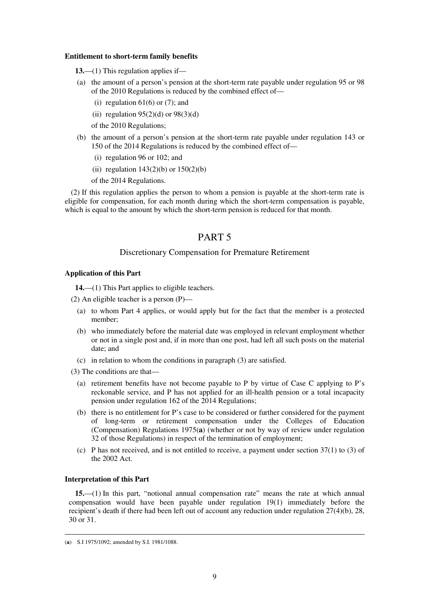#### **Entitlement to short-term family benefits**

- **13.**—(1) This regulation applies if—
- (a) the amount of a person's pension at the short-term rate payable under regulation 95 or 98 of the 2010 Regulations is reduced by the combined effect of—
	- (i) regulation  $61(6)$  or  $(7)$ ; and
	- (ii) regulation  $95(2)(d)$  or  $98(3)(d)$
	- of the 2010 Regulations;
- (b) the amount of a person's pension at the short-term rate payable under regulation 143 or 150 of the 2014 Regulations is reduced by the combined effect of—
	- (i) regulation 96 or 102; and
	- (ii) regulation  $143(2)(b)$  or  $150(2)(b)$
	- of the 2014 Regulations.

(2) If this regulation applies the person to whom a pension is payable at the short-term rate is eligible for compensation, for each month during which the short-term compensation is payable, which is equal to the amount by which the short-term pension is reduced for that month.

## PART 5

### Discretionary Compensation for Premature Retirement

#### **Application of this Part**

**14.**—(1) This Part applies to eligible teachers.

- (2) An eligible teacher is a person (P)—
	- (a) to whom Part 4 applies, or would apply but for the fact that the member is a protected member;
	- (b) who immediately before the material date was employed in relevant employment whether or not in a single post and, if in more than one post, had left all such posts on the material date; and
	- (c) in relation to whom the conditions in paragraph (3) are satisfied.

(3) The conditions are that—

- (a) retirement benefits have not become payable to P by virtue of Case C applying to P's reckonable service, and P has not applied for an ill-health pension or a total incapacity pension under regulation 162 of the 2014 Regulations;
- (b) there is no entitlement for P's case to be considered or further considered for the payment of long-term or retirement compensation under the Colleges of Education (Compensation) Regulations 1975(**a**) (whether or not by way of review under regulation 32 of those Regulations) in respect of the termination of employment;
- (c) P has not received, and is not entitled to receive, a payment under section  $37(1)$  to (3) of the 2002 Act.

#### **Interpretation of this Part**

<u>.</u>

**15.**—(1) In this part, "notional annual compensation rate" means the rate at which annual compensation would have been payable under regulation 19(1) immediately before the recipient's death if there had been left out of account any reduction under regulation 27(4)(b), 28, 30 or 31.

<sup>(</sup>**a**) S.I 1975/1092; amended by S.I. 1981/1088.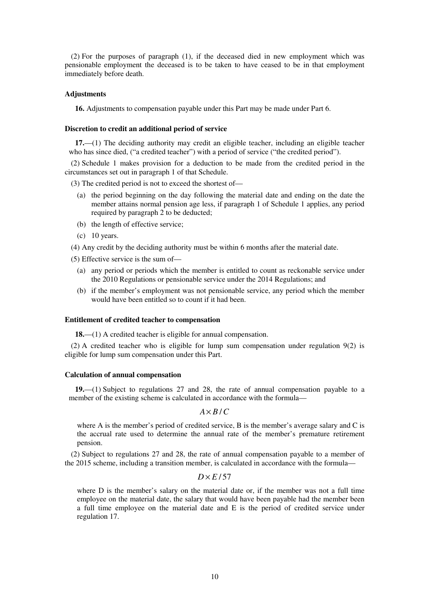(2) For the purposes of paragraph (1), if the deceased died in new employment which was pensionable employment the deceased is to be taken to have ceased to be in that employment immediately before death.

#### **Adjustments**

**16.** Adjustments to compensation payable under this Part may be made under Part 6.

#### **Discretion to credit an additional period of service**

**17.**—(1) The deciding authority may credit an eligible teacher, including an eligible teacher who has since died, ("a credited teacher") with a period of service ("the credited period").

(2) Schedule 1 makes provision for a deduction to be made from the credited period in the circumstances set out in paragraph 1 of that Schedule.

(3) The credited period is not to exceed the shortest of—

- (a) the period beginning on the day following the material date and ending on the date the member attains normal pension age less, if paragraph 1 of Schedule 1 applies, any period required by paragraph 2 to be deducted;
- (b) the length of effective service;
- (c) 10 years.

(4) Any credit by the deciding authority must be within 6 months after the material date.

(5) Effective service is the sum of—

- (a) any period or periods which the member is entitled to count as reckonable service under the 2010 Regulations or pensionable service under the 2014 Regulations; and
- (b) if the member's employment was not pensionable service, any period which the member would have been entitled so to count if it had been.

### **Entitlement of credited teacher to compensation**

**18.**—(1) A credited teacher is eligible for annual compensation.

(2) A credited teacher who is eligible for lump sum compensation under regulation 9(2) is eligible for lump sum compensation under this Part.

#### **Calculation of annual compensation**

**19.**—(1) Subject to regulations 27 and 28, the rate of annual compensation payable to a member of the existing scheme is calculated in accordance with the formula—

```
A \times B /C
```
where A is the member's period of credited service, B is the member's average salary and C is the accrual rate used to determine the annual rate of the member's premature retirement pension.

(2) Subject to regulations 27 and 28, the rate of annual compensation payable to a member of the 2015 scheme, including a transition member, is calculated in accordance with the formula—

### $D \times E/57$

where D is the member's salary on the material date or, if the member was not a full time employee on the material date, the salary that would have been payable had the member been a full time employee on the material date and E is the period of credited service under regulation 17.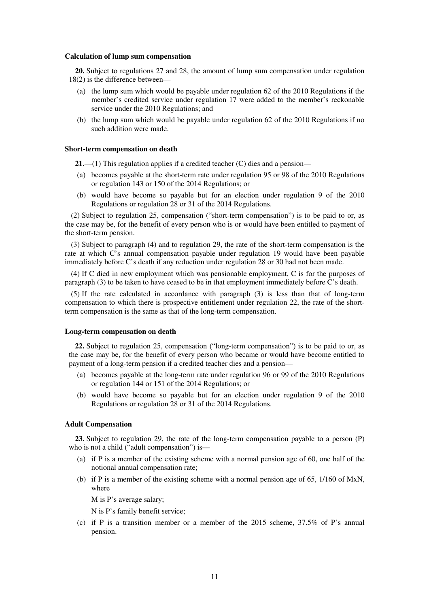#### **Calculation of lump sum compensation**

**20.** Subject to regulations 27 and 28, the amount of lump sum compensation under regulation 18(2) is the difference between—

- (a) the lump sum which would be payable under regulation 62 of the 2010 Regulations if the member's credited service under regulation 17 were added to the member's reckonable service under the 2010 Regulations; and
- (b) the lump sum which would be payable under regulation 62 of the 2010 Regulations if no such addition were made.

#### **Short-term compensation on death**

**21.**—(1) This regulation applies if a credited teacher (C) dies and a pension—

- (a) becomes payable at the short-term rate under regulation 95 or 98 of the 2010 Regulations or regulation 143 or 150 of the 2014 Regulations; or
- (b) would have become so payable but for an election under regulation 9 of the 2010 Regulations or regulation 28 or 31 of the 2014 Regulations.

(2) Subject to regulation 25, compensation ("short-term compensation") is to be paid to or, as the case may be, for the benefit of every person who is or would have been entitled to payment of the short-term pension.

(3) Subject to paragraph (4) and to regulation 29, the rate of the short-term compensation is the rate at which C's annual compensation payable under regulation 19 would have been payable immediately before C's death if any reduction under regulation 28 or 30 had not been made.

(4) If C died in new employment which was pensionable employment, C is for the purposes of paragraph (3) to be taken to have ceased to be in that employment immediately before C's death.

(5) If the rate calculated in accordance with paragraph (3) is less than that of long-term compensation to which there is prospective entitlement under regulation 22, the rate of the shortterm compensation is the same as that of the long-term compensation.

#### **Long-term compensation on death**

**22.** Subject to regulation 25, compensation ("long-term compensation") is to be paid to or, as the case may be, for the benefit of every person who became or would have become entitled to payment of a long-term pension if a credited teacher dies and a pension—

- (a) becomes payable at the long-term rate under regulation 96 or 99 of the 2010 Regulations or regulation 144 or 151 of the 2014 Regulations; or
- (b) would have become so payable but for an election under regulation 9 of the 2010 Regulations or regulation 28 or 31 of the 2014 Regulations.

#### **Adult Compensation**

**23.** Subject to regulation 29, the rate of the long-term compensation payable to a person (P) who is not a child ("adult compensation") is—

- (a) if P is a member of the existing scheme with a normal pension age of 60, one half of the notional annual compensation rate;
- (b) if P is a member of the existing scheme with a normal pension age of 65, 1/160 of MxN, where

M is P's average salary;

N is P's family benefit service;

(c) if P is a transition member or a member of the 2015 scheme, 37.5% of P's annual pension.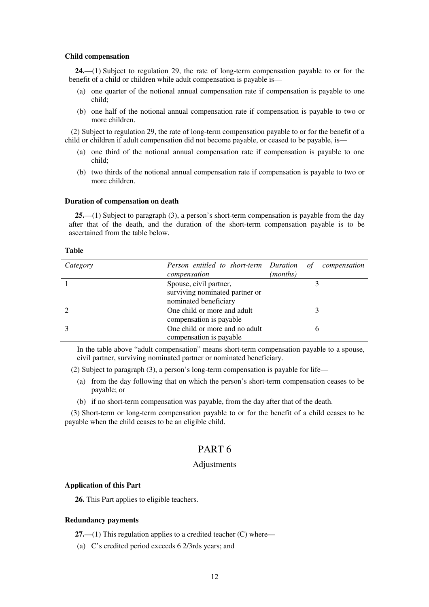#### **Child compensation**

**24.**—(1) Subject to regulation 29, the rate of long-term compensation payable to or for the benefit of a child or children while adult compensation is payable is—

- (a) one quarter of the notional annual compensation rate if compensation is payable to one child;
- (b) one half of the notional annual compensation rate if compensation is payable to two or more children.

(2) Subject to regulation 29, the rate of long-term compensation payable to or for the benefit of a child or children if adult compensation did not become payable, or ceased to be payable, is—

- (a) one third of the notional annual compensation rate if compensation is payable to one child;
- (b) two thirds of the notional annual compensation rate if compensation is payable to two or more children.

#### **Duration of compensation on death**

**25.**—(1) Subject to paragraph (3), a person's short-term compensation is payable from the day after that of the death, and the duration of the short-term compensation payable is to be ascertained from the table below.

#### **Table**

| Category | Person entitled to short-term Duration<br>compensation                            | of<br>(months) | compensation |
|----------|-----------------------------------------------------------------------------------|----------------|--------------|
|          | Spouse, civil partner,<br>surviving nominated partner or<br>nominated beneficiary |                |              |
|          | One child or more and adult<br>compensation is payable.                           |                |              |
| 3        | One child or more and no adult<br>compensation is payable                         |                |              |

In the table above "adult compensation" means short-term compensation payable to a spouse, civil partner, surviving nominated partner or nominated beneficiary.

(2) Subject to paragraph (3), a person's long-term compensation is payable for life—

- (a) from the day following that on which the person's short-term compensation ceases to be payable; or
- (b) if no short-term compensation was payable, from the day after that of the death.

(3) Short-term or long-term compensation payable to or for the benefit of a child ceases to be payable when the child ceases to be an eligible child.

## PART 6

### Adjustments

#### **Application of this Part**

**26.** This Part applies to eligible teachers.

#### **Redundancy payments**

**27.**—(1) This regulation applies to a credited teacher (C) where—

(a) C's credited period exceeds 6 2/3rds years; and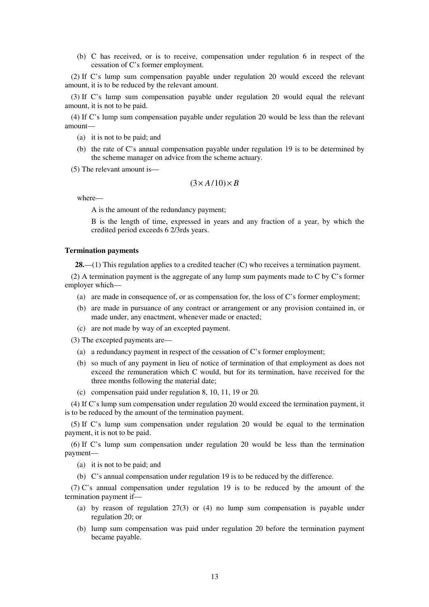(b) C has received, or is to receive, compensation under regulation 6 in respect of the cessation of C's former employment.

(2) If C's lump sum compensation payable under regulation 20 would exceed the relevant amount, it is to be reduced by the relevant amount.

(3) If C's lump sum compensation payable under regulation 20 would equal the relevant amount, it is not to be paid.

(4) If C's lump sum compensation payable under regulation 20 would be less than the relevant amount—

- (a) it is not to be paid; and
- (b) the rate of C's annual compensation payable under regulation 19 is to be determined by the scheme manager on advice from the scheme actuary.
- (5) The relevant amount is—

$$
(3 \times A/10) \times B
$$

where—

A is the amount of the redundancy payment;

B is the length of time, expressed in years and any fraction of a year, by which the credited period exceeds 6 2/3rds years.

#### **Termination payments**

**28.**—(1) This regulation applies to a credited teacher (C) who receives a termination payment.

(2) A termination payment is the aggregate of any lump sum payments made to C by C's former employer which—

- (a) are made in consequence of, or as compensation for, the loss of C's former employment;
- (b) are made in pursuance of any contract or arrangement or any provision contained in, or made under, any enactment, whenever made or enacted;
- (c) are not made by way of an excepted payment.

(3) The excepted payments are—

- (a) a redundancy payment in respect of the cessation of C's former employment;
- (b) so much of any payment in lieu of notice of termination of that employment as does not exceed the remuneration which C would, but for its termination, have received for the three months following the material date;
- (c) compensation paid under regulation 8, 10, 11, 19 or 20.

(4) If C's lump sum compensation under regulation 20 would exceed the termination payment, it is to be reduced by the amount of the termination payment.

(5) If C's lump sum compensation under regulation 20 would be equal to the termination payment, it is not to be paid.

(6) If C's lump sum compensation under regulation 20 would be less than the termination payment—

(a) it is not to be paid; and

(b) C's annual compensation under regulation 19 is to be reduced by the difference.

(7) C's annual compensation under regulation 19 is to be reduced by the amount of the termination payment if—

- (a) by reason of regulation 27(3) or (4) no lump sum compensation is payable under regulation 20; or
- (b) lump sum compensation was paid under regulation 20 before the termination payment became payable.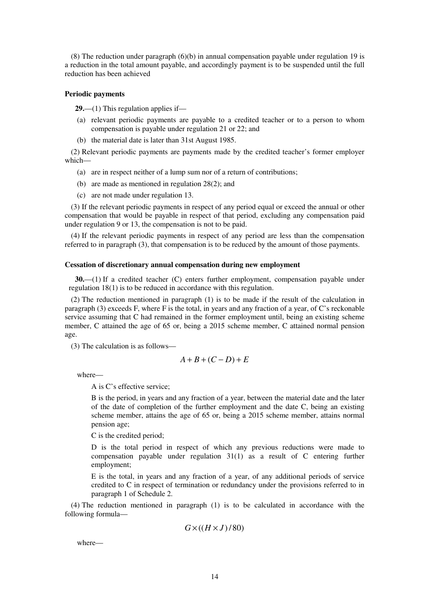(8) The reduction under paragraph (6)(b) in annual compensation payable under regulation 19 is a reduction in the total amount payable, and accordingly payment is to be suspended until the full reduction has been achieved

#### **Periodic payments**

**29.**—(1) This regulation applies if—

- (a) relevant periodic payments are payable to a credited teacher or to a person to whom compensation is payable under regulation 21 or 22; and
- (b) the material date is later than 31st August 1985.

(2) Relevant periodic payments are payments made by the credited teacher's former employer which—

- (a) are in respect neither of a lump sum nor of a return of contributions;
- (b) are made as mentioned in regulation 28(2); and
- (c) are not made under regulation 13.

(3) If the relevant periodic payments in respect of any period equal or exceed the annual or other compensation that would be payable in respect of that period, excluding any compensation paid under regulation 9 or 13, the compensation is not to be paid.

(4) If the relevant periodic payments in respect of any period are less than the compensation referred to in paragraph (3), that compensation is to be reduced by the amount of those payments.

#### **Cessation of discretionary annual compensation during new employment**

**30.**—(1) If a credited teacher (C) enters further employment, compensation payable under regulation 18(1) is to be reduced in accordance with this regulation.

(2) The reduction mentioned in paragraph (1) is to be made if the result of the calculation in paragraph (3) exceeds F, where F is the total, in years and any fraction of a year, of C's reckonable service assuming that C had remained in the former employment until, being an existing scheme member, C attained the age of 65 or, being a 2015 scheme member, C attained normal pension age.

(3) The calculation is as follows—

$$
A+B+(C-D)+E
$$

where—

A is C's effective service;

B is the period, in years and any fraction of a year, between the material date and the later of the date of completion of the further employment and the date C, being an existing scheme member, attains the age of 65 or, being a 2015 scheme member, attains normal pension age;

C is the credited period;

D is the total period in respect of which any previous reductions were made to compensation payable under regulation 31(1) as a result of C entering further employment;

E is the total, in years and any fraction of a year, of any additional periods of service credited to C in respect of termination or redundancy under the provisions referred to in paragraph 1 of Schedule 2.

(4) The reduction mentioned in paragraph (1) is to be calculated in accordance with the following formula—

$$
G \times ((H \times J)/80)
$$

where—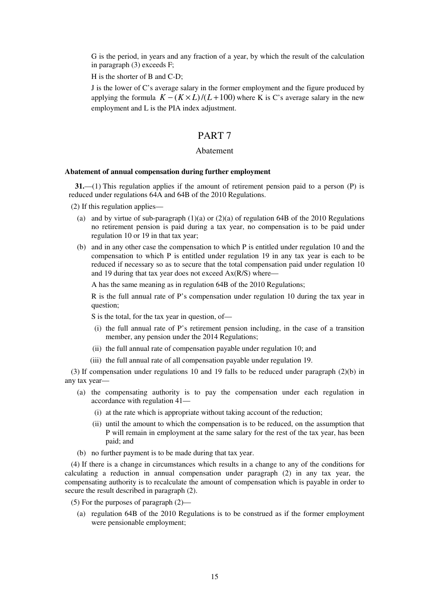G is the period, in years and any fraction of a year, by which the result of the calculation in paragraph (3) exceeds F;

H is the shorter of B and C-D;

J is the lower of C's average salary in the former employment and the figure produced by applying the formula  $K - (K \times L)/(L + 100)$  where K is C's average salary in the new employment and L is the PIA index adjustment.

## PART 7

### Abatement

#### **Abatement of annual compensation during further employment**

**31.**—(1) This regulation applies if the amount of retirement pension paid to a person (P) is reduced under regulations 64A and 64B of the 2010 Regulations.

(2) If this regulation applies—

- (a) and by virtue of sub-paragraph  $(1)(a)$  or  $(2)(a)$  of regulation 64B of the 2010 Regulations no retirement pension is paid during a tax year, no compensation is to be paid under regulation 10 or 19 in that tax year;
- (b) and in any other case the compensation to which P is entitled under regulation 10 and the compensation to which P is entitled under regulation 19 in any tax year is each to be reduced if necessary so as to secure that the total compensation paid under regulation 10 and 19 during that tax year does not exceed Ax(R/S) where—

A has the same meaning as in regulation 64B of the 2010 Regulations;

R is the full annual rate of P's compensation under regulation 10 during the tax year in question;

S is the total, for the tax year in question, of—

- (i) the full annual rate of P's retirement pension including, in the case of a transition member, any pension under the 2014 Regulations;
- (ii) the full annual rate of compensation payable under regulation 10; and
- (iii) the full annual rate of all compensation payable under regulation 19.

(3) If compensation under regulations 10 and 19 falls to be reduced under paragraph (2)(b) in any tax year—

- (a) the compensating authority is to pay the compensation under each regulation in accordance with regulation 41—
	- (i) at the rate which is appropriate without taking account of the reduction;
	- (ii) until the amount to which the compensation is to be reduced, on the assumption that P will remain in employment at the same salary for the rest of the tax year, has been paid; and
- (b) no further payment is to be made during that tax year.

(4) If there is a change in circumstances which results in a change to any of the conditions for calculating a reduction in annual compensation under paragraph (2) in any tax year, the compensating authority is to recalculate the amount of compensation which is payable in order to secure the result described in paragraph (2).

(5) For the purposes of paragraph (2)—

(a) regulation 64B of the 2010 Regulations is to be construed as if the former employment were pensionable employment;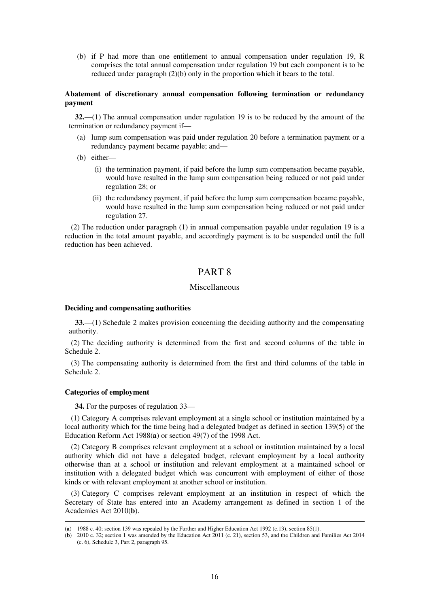(b) if P had more than one entitlement to annual compensation under regulation 19, R comprises the total annual compensation under regulation 19 but each component is to be reduced under paragraph (2)(b) only in the proportion which it bears to the total.

### **Abatement of discretionary annual compensation following termination or redundancy payment**

**32.**—(1) The annual compensation under regulation 19 is to be reduced by the amount of the termination or redundancy payment if—

- (a) lump sum compensation was paid under regulation 20 before a termination payment or a redundancy payment became payable; and—
- (b) either—
	- (i) the termination payment, if paid before the lump sum compensation became payable, would have resulted in the lump sum compensation being reduced or not paid under regulation 28; or
	- (ii) the redundancy payment, if paid before the lump sum compensation became payable, would have resulted in the lump sum compensation being reduced or not paid under regulation 27.

(2) The reduction under paragraph (1) in annual compensation payable under regulation 19 is a reduction in the total amount payable, and accordingly payment is to be suspended until the full reduction has been achieved.

## PART 8

### Miscellaneous

#### **Deciding and compensating authorities**

**33.**—(1) Schedule 2 makes provision concerning the deciding authority and the compensating authority.

(2) The deciding authority is determined from the first and second columns of the table in Schedule 2.

(3) The compensating authority is determined from the first and third columns of the table in Schedule 2.

#### **Categories of employment**

<u>.</u>

**34.** For the purposes of regulation 33—

(1) Category A comprises relevant employment at a single school or institution maintained by a local authority which for the time being had a delegated budget as defined in section 139(5) of the Education Reform Act 1988(**a**) or section 49(7) of the 1998 Act.

(2) Category B comprises relevant employment at a school or institution maintained by a local authority which did not have a delegated budget, relevant employment by a local authority otherwise than at a school or institution and relevant employment at a maintained school or institution with a delegated budget which was concurrent with employment of either of those kinds or with relevant employment at another school or institution.

(3) Category C comprises relevant employment at an institution in respect of which the Secretary of State has entered into an Academy arrangement as defined in section 1 of the Academies Act 2010(**b**).

<sup>(</sup>**a**) 1988 c. 40; section 139 was repealed by the Further and Higher Education Act 1992 (c.13), section 85(1).

<sup>(</sup>**b**) 2010 c. 32; section 1 was amended by the Education Act 2011 (c. 21), section 53, and the Children and Families Act 2014 (c. 6), Schedule 3, Part 2, paragraph 95.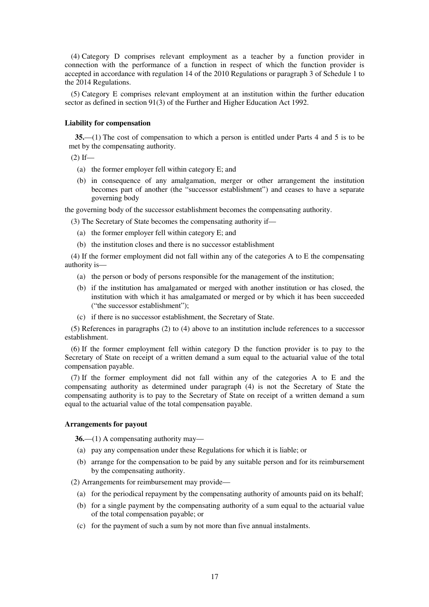(4) Category D comprises relevant employment as a teacher by a function provider in connection with the performance of a function in respect of which the function provider is accepted in accordance with regulation 14 of the 2010 Regulations or paragraph 3 of Schedule 1 to the 2014 Regulations.

(5) Category E comprises relevant employment at an institution within the further education sector as defined in section 91(3) of the Further and Higher Education Act 1992.

#### **Liability for compensation**

**35.**—(1) The cost of compensation to which a person is entitled under Parts 4 and 5 is to be met by the compensating authority.

 $(2)$  If—

- (a) the former employer fell within category E; and
- (b) in consequence of any amalgamation, merger or other arrangement the institution becomes part of another (the "successor establishment") and ceases to have a separate governing body

the governing body of the successor establishment becomes the compensating authority.

(3) The Secretary of State becomes the compensating authority if—

- (a) the former employer fell within category E; and
- (b) the institution closes and there is no successor establishment

(4) If the former employment did not fall within any of the categories A to E the compensating authority is—

- (a) the person or body of persons responsible for the management of the institution;
- (b) if the institution has amalgamated or merged with another institution or has closed, the institution with which it has amalgamated or merged or by which it has been succeeded ("the successor establishment");
- (c) if there is no successor establishment, the Secretary of State.

(5) References in paragraphs (2) to (4) above to an institution include references to a successor establishment.

(6) If the former employment fell within category D the function provider is to pay to the Secretary of State on receipt of a written demand a sum equal to the actuarial value of the total compensation payable.

(7) If the former employment did not fall within any of the categories A to E and the compensating authority as determined under paragraph (4) is not the Secretary of State the compensating authority is to pay to the Secretary of State on receipt of a written demand a sum equal to the actuarial value of the total compensation payable.

#### **Arrangements for payout**

**36.**—(1) A compensating authority may—

- (a) pay any compensation under these Regulations for which it is liable; or
- (b) arrange for the compensation to be paid by any suitable person and for its reimbursement by the compensating authority.

(2) Arrangements for reimbursement may provide—

- (a) for the periodical repayment by the compensating authority of amounts paid on its behalf;
- (b) for a single payment by the compensating authority of a sum equal to the actuarial value of the total compensation payable; or
- (c) for the payment of such a sum by not more than five annual instalments.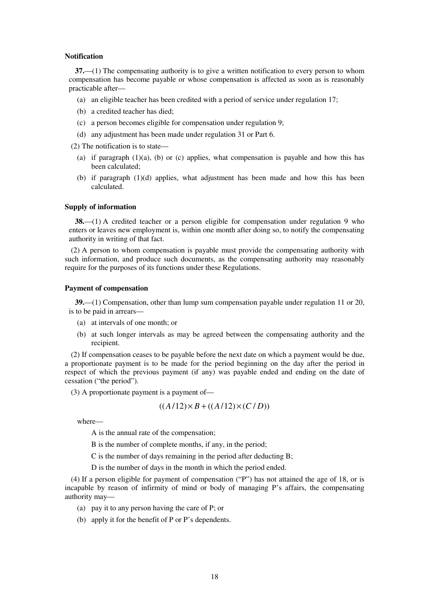#### **Notification**

**37.**—(1) The compensating authority is to give a written notification to every person to whom compensation has become payable or whose compensation is affected as soon as is reasonably practicable after—

- (a) an eligible teacher has been credited with a period of service under regulation 17;
- (b) a credited teacher has died;
- (c) a person becomes eligible for compensation under regulation 9;
- (d) any adjustment has been made under regulation 31 or Part 6.

(2) The notification is to state—

- (a) if paragraph  $(1)(a)$ , (b) or (c) applies, what compensation is payable and how this has been calculated;
- (b) if paragraph (1)(d) applies, what adjustment has been made and how this has been calculated.

#### **Supply of information**

**38.**—(1) A credited teacher or a person eligible for compensation under regulation 9 who enters or leaves new employment is, within one month after doing so, to notify the compensating authority in writing of that fact.

(2) A person to whom compensation is payable must provide the compensating authority with such information, and produce such documents, as the compensating authority may reasonably require for the purposes of its functions under these Regulations.

#### **Payment of compensation**

**39.**—(1) Compensation, other than lump sum compensation payable under regulation 11 or 20, is to be paid in arrears—

- (a) at intervals of one month; or
- (b) at such longer intervals as may be agreed between the compensating authority and the recipient.

(2) If compensation ceases to be payable before the next date on which a payment would be due, a proportionate payment is to be made for the period beginning on the day after the period in respect of which the previous payment (if any) was payable ended and ending on the date of cessation ("the period").

(3) A proportionate payment is a payment of—

$$
((A/12)\times B + ((A/12)\times (C/D))
$$

where—

A is the annual rate of the compensation;

B is the number of complete months, if any, in the period;

C is the number of days remaining in the period after deducting B;

D is the number of days in the month in which the period ended.

(4) If a person eligible for payment of compensation ("P") has not attained the age of 18, or is incapable by reason of infirmity of mind or body of managing P's affairs, the compensating authority may—

- (a) pay it to any person having the care of P; or
- (b) apply it for the benefit of P or P's dependents.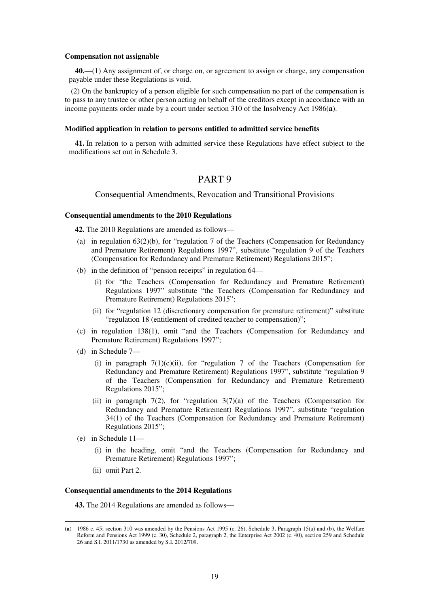#### **Compensation not assignable**

**40.**—(1) Any assignment of, or charge on, or agreement to assign or charge, any compensation payable under these Regulations is void.

(2) On the bankruptcy of a person eligible for such compensation no part of the compensation is to pass to any trustee or other person acting on behalf of the creditors except in accordance with an income payments order made by a court under section 310 of the Insolvency Act 1986(**a**).

#### **Modified application in relation to persons entitled to admitted service benefits**

**41.** In relation to a person with admitted service these Regulations have effect subject to the modifications set out in Schedule 3.

## PART 9

### Consequential Amendments, Revocation and Transitional Provisions

#### **Consequential amendments to the 2010 Regulations**

**42.** The 2010 Regulations are amended as follows—

- (a) in regulation  $63(2)(b)$ , for "regulation 7 of the Teachers (Compensation for Redundancy and Premature Retirement) Regulations 1997", substitute "regulation 9 of the Teachers (Compensation for Redundancy and Premature Retirement) Regulations 2015";
- (b) in the definition of "pension receipts" in regulation 64—
	- (i) for "the Teachers (Compensation for Redundancy and Premature Retirement) Regulations 1997" substitute "the Teachers (Compensation for Redundancy and Premature Retirement) Regulations 2015";
	- (ii) for "regulation 12 (discretionary compensation for premature retirement)" substitute "regulation 18 (entitlement of credited teacher to compensation)";
- (c) in regulation 138(1), omit "and the Teachers (Compensation for Redundancy and Premature Retirement) Regulations 1997";
- (d) in Schedule 7—
	- (i) in paragraph  $7(1)(c)(ii)$ , for "regulation 7 of the Teachers (Compensation for Redundancy and Premature Retirement) Regulations 1997", substitute "regulation 9 of the Teachers (Compensation for Redundancy and Premature Retirement) Regulations 2015";
	- (ii) in paragraph  $7(2)$ , for "regulation  $3(7)(a)$  of the Teachers (Compensation for Redundancy and Premature Retirement) Regulations 1997", substitute "regulation 34(1) of the Teachers (Compensation for Redundancy and Premature Retirement) Regulations 2015";
- (e) in Schedule 11—

<u>.</u>

- (i) in the heading, omit "and the Teachers (Compensation for Redundancy and Premature Retirement) Regulations 1997";
- (ii) omit Part 2.

#### **Consequential amendments to the 2014 Regulations**

**43.** The 2014 Regulations are amended as follows—

<sup>(</sup>**a**) 1986 c. 45; section 310 was amended by the Pensions Act 1995 (c. 26), Schedule 3, Paragraph 15(a) and (b), the Welfare Reform and Pensions Act 1999 (c. 30), Schedule 2, paragraph 2, the Enterprise Act 2002 (c. 40), section 259 and Schedule 26 and S.I. 2011/1730 as amended by S.I. 2012/709.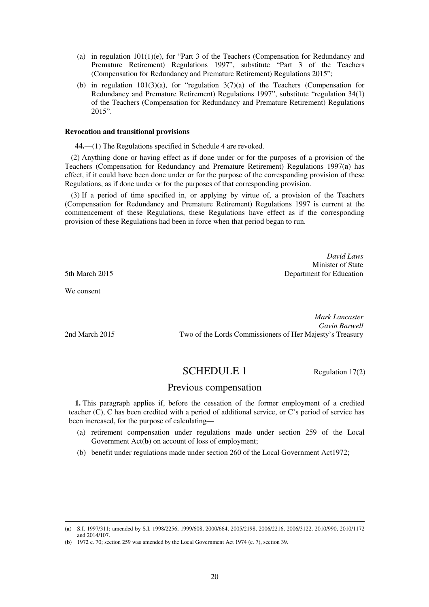- (a) in regulation 101(1)(e), for "Part 3 of the Teachers (Compensation for Redundancy and Premature Retirement) Regulations 1997", substitute "Part 3 of the Teachers (Compensation for Redundancy and Premature Retirement) Regulations 2015";
- (b) in regulation  $101(3)(a)$ , for "regulation  $3(7)(a)$  of the Teachers (Compensation for Redundancy and Premature Retirement) Regulations 1997", substitute "regulation 34(1) of the Teachers (Compensation for Redundancy and Premature Retirement) Regulations 2015".

#### **Revocation and transitional provisions**

**44.**—(1) The Regulations specified in Schedule 4 are revoked.

(2) Anything done or having effect as if done under or for the purposes of a provision of the Teachers (Compensation for Redundancy and Premature Retirement) Regulations 1997(**a**) has effect, if it could have been done under or for the purpose of the corresponding provision of these Regulations, as if done under or for the purposes of that corresponding provision.

(3) If a period of time specified in, or applying by virtue of, a provision of the Teachers (Compensation for Redundancy and Premature Retirement) Regulations 1997 is current at the commencement of these Regulations, these Regulations have effect as if the corresponding provision of these Regulations had been in force when that period began to run.

*David Laws*  Minister of State 5th March 2015 Department for Education

We consent

<u>.</u>

*Mark Lancaster Gavin Barwell*  2nd March 2015 Two of the Lords Commissioners of Her Majesty's Treasury

# SCHEDULE 1 Regulation 17(2)

## Previous compensation

**1.** This paragraph applies if, before the cessation of the former employment of a credited teacher (C), C has been credited with a period of additional service, or C's period of service has been increased, for the purpose of calculating—

- (a) retirement compensation under regulations made under section 259 of the Local Government Act(**b**) on account of loss of employment;
- (b) benefit under regulations made under section 260 of the Local Government Act1972;

<sup>(</sup>**a**) S.I. 1997/311; amended by S.I. 1998/2256, 1999/608, 2000/664, 2005/2198, 2006/2216, 2006/3122, 2010/990, 2010/1172 and 2014/107.

<sup>(</sup>**b**) 1972 c. 70; section 259 was amended by the Local Government Act 1974 (c. 7), section 39.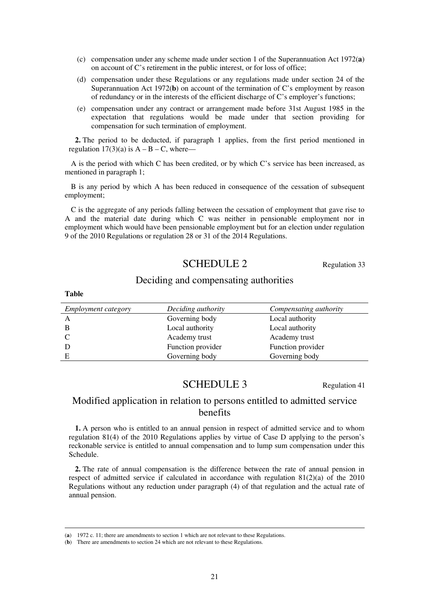- (c) compensation under any scheme made under section 1 of the Superannuation Act 1972(**a**) on account of C's retirement in the public interest, or for loss of office;
- (d) compensation under these Regulations or any regulations made under section 24 of the Superannuation Act 1972(**b**) on account of the termination of C's employment by reason of redundancy or in the interests of the efficient discharge of C's employer's functions;
- (e) compensation under any contract or arrangement made before 31st August 1985 in the expectation that regulations would be made under that section providing for compensation for such termination of employment.

**2.** The period to be deducted, if paragraph 1 applies, from the first period mentioned in regulation  $17(3)(a)$  is  $A - B - C$ , where—

A is the period with which C has been credited, or by which C's service has been increased, as mentioned in paragraph 1;

B is any period by which A has been reduced in consequence of the cessation of subsequent employment;

C is the aggregate of any periods falling between the cessation of employment that gave rise to A and the material date during which C was neither in pensionable employment nor in employment which would have been pensionable employment but for an election under regulation 9 of the 2010 Regulations or regulation 28 or 31 of the 2014 Regulations.

## SCHEDULE 2 Regulation 33

## Deciding and compensating authorities

| <i>Employment category</i> | Deciding authority | Compensating authority |
|----------------------------|--------------------|------------------------|
| $\mathsf{A}$               | Governing body     | Local authority        |
| B                          | Local authority    | Local authority        |
|                            | Academy trust      | Academy trust          |
|                            | Function provider  | Function provider      |
| Е                          | Governing body     | Governing body         |
|                            |                    |                        |

## SCHEDULE 3 Regulation 41

## Modified application in relation to persons entitled to admitted service benefits

**1.** A person who is entitled to an annual pension in respect of admitted service and to whom regulation 81(4) of the 2010 Regulations applies by virtue of Case D applying to the person's reckonable service is entitled to annual compensation and to lump sum compensation under this Schedule.

**2.** The rate of annual compensation is the difference between the rate of annual pension in respect of admitted service if calculated in accordance with regulation 81(2)(a) of the 2010 Regulations without any reduction under paragraph (4) of that regulation and the actual rate of annual pension.

**Table** 

<u>.</u>

<sup>(</sup>**a**) 1972 c. 11; there are amendments to section 1 which are not relevant to these Regulations.

<sup>(</sup>**b**) There are amendments to section 24 which are not relevant to these Regulations.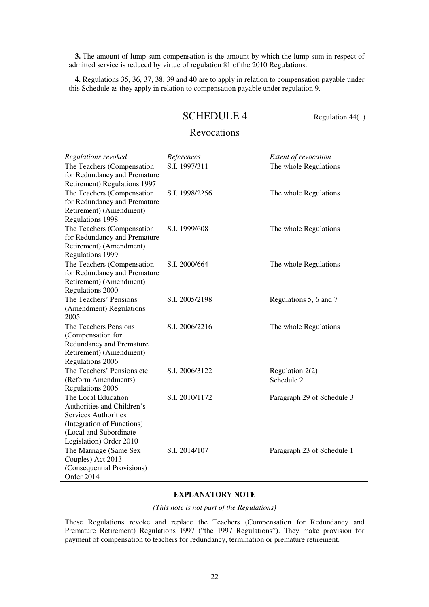**3.** The amount of lump sum compensation is the amount by which the lump sum in respect of admitted service is reduced by virtue of regulation 81 of the 2010 Regulations.

**4.** Regulations 35, 36, 37, 38, 39 and 40 are to apply in relation to compensation payable under this Schedule as they apply in relation to compensation payable under regulation 9.

## SCHEDULE 4 Regulation 44(1)

## Revocations

| Regulations revoked                                        | References     | Extent of revocation       |
|------------------------------------------------------------|----------------|----------------------------|
| The Teachers (Compensation                                 | S.I. 1997/311  | The whole Regulations      |
| for Redundancy and Premature                               |                |                            |
| Retirement) Regulations 1997                               |                |                            |
| The Teachers (Compensation                                 | S.I. 1998/2256 | The whole Regulations      |
| for Redundancy and Premature                               |                |                            |
| Retirement) (Amendment)                                    |                |                            |
| Regulations 1998                                           |                |                            |
| The Teachers (Compensation<br>for Redundancy and Premature | S.I. 1999/608  | The whole Regulations      |
| Retirement) (Amendment)                                    |                |                            |
| Regulations 1999                                           |                |                            |
| The Teachers (Compensation                                 | S.I. 2000/664  | The whole Regulations      |
| for Redundancy and Premature                               |                |                            |
| Retirement) (Amendment)                                    |                |                            |
| Regulations 2000                                           |                |                            |
| The Teachers' Pensions                                     | S.I. 2005/2198 | Regulations 5, 6 and 7     |
| (Amendment) Regulations                                    |                |                            |
| 2005                                                       |                |                            |
| The Teachers Pensions                                      | S.I. 2006/2216 | The whole Regulations      |
| (Compensation for                                          |                |                            |
| Redundancy and Premature                                   |                |                            |
| Retirement) (Amendment)                                    |                |                            |
| Regulations 2006                                           |                |                            |
| The Teachers' Pensions etc                                 | S.I. 2006/3122 | Regulation $2(2)$          |
| (Reform Amendments)<br>Regulations 2006                    |                | Schedule 2                 |
| The Local Education                                        | S.I. 2010/1172 | Paragraph 29 of Schedule 3 |
| Authorities and Children's                                 |                |                            |
| <b>Services Authorities</b>                                |                |                            |
| (Integration of Functions)                                 |                |                            |
| (Local and Subordinate                                     |                |                            |
| Legislation) Order 2010                                    |                |                            |
| The Marriage (Same Sex                                     | S.I. 2014/107  | Paragraph 23 of Schedule 1 |
| Couples) Act 2013                                          |                |                            |
| (Consequential Provisions)                                 |                |                            |
| Order 2014                                                 |                |                            |

## **EXPLANATORY NOTE**

*(This note is not part of the Regulations)* 

These Regulations revoke and replace the Teachers (Compensation for Redundancy and Premature Retirement) Regulations 1997 ("the 1997 Regulations"). They make provision for payment of compensation to teachers for redundancy, termination or premature retirement.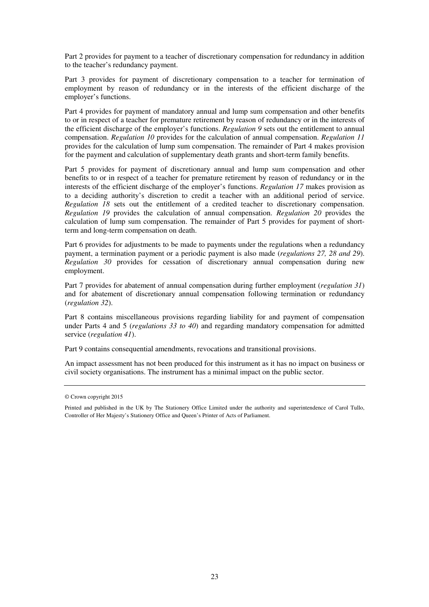Part 2 provides for payment to a teacher of discretionary compensation for redundancy in addition to the teacher's redundancy payment.

Part 3 provides for payment of discretionary compensation to a teacher for termination of employment by reason of redundancy or in the interests of the efficient discharge of the employer's functions.

Part 4 provides for payment of mandatory annual and lump sum compensation and other benefits to or in respect of a teacher for premature retirement by reason of redundancy or in the interests of the efficient discharge of the employer's functions. *Regulation 9* sets out the entitlement to annual compensation. *Regulation 10* provides for the calculation of annual compensation. *Regulation 11* provides for the calculation of lump sum compensation. The remainder of Part 4 makes provision for the payment and calculation of supplementary death grants and short-term family benefits.

Part 5 provides for payment of discretionary annual and lump sum compensation and other benefits to or in respect of a teacher for premature retirement by reason of redundancy or in the interests of the efficient discharge of the employer's functions. *Regulation 17* makes provision as to a deciding authority's discretion to credit a teacher with an additional period of service. *Regulation 18* sets out the entitlement of a credited teacher to discretionary compensation. *Regulation 19* provides the calculation of annual compensation. *Regulation 20* provides the calculation of lump sum compensation. The remainder of Part 5 provides for payment of shortterm and long-term compensation on death.

Part 6 provides for adjustments to be made to payments under the regulations when a redundancy payment, a termination payment or a periodic payment is also made (*regulations 27, 28 and 29*). *Regulation 30* provides for cessation of discretionary annual compensation during new employment.

Part 7 provides for abatement of annual compensation during further employment (*regulation 31*) and for abatement of discretionary annual compensation following termination or redundancy (*regulation 32*).

Part 8 contains miscellaneous provisions regarding liability for and payment of compensation under Parts 4 and 5 (*regulations 33 to 40*) and regarding mandatory compensation for admitted service (*regulation 41*).

Part 9 contains consequential amendments, revocations and transitional provisions.

An impact assessment has not been produced for this instrument as it has no impact on business or civil society organisations. The instrument has a minimal impact on the public sector.

<sup>©</sup> Crown copyright 2015

Printed and published in the UK by The Stationery Office Limited under the authority and superintendence of Carol Tullo, Controller of Her Majesty's Stationery Office and Queen's Printer of Acts of Parliament.